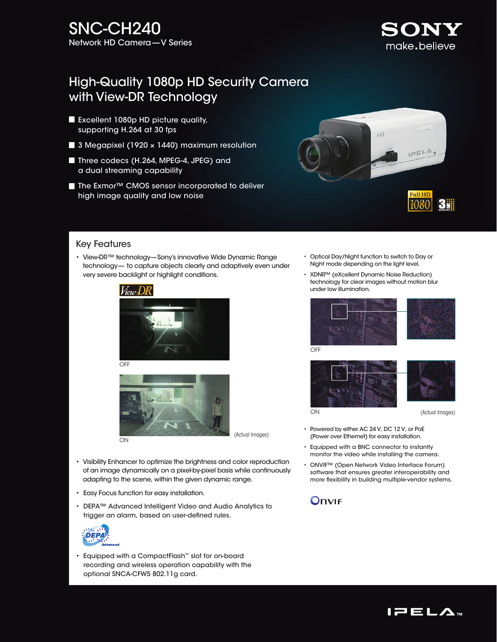# High-Quality 1080p HD Security Camera with View-DR Technology

- Excellent 1080p HD picture quality, supporting H.264 at 30 fps
- 3 Megapixel (1920  $\times$  1440) maximum resolution
- Three codecs (H.264, MPEG-4, JPEG) and a dual streaming capability
- The Exmor<sup>™</sup> CMOS sensor incorporated to deliver high image quality and low noise



## Key Features

• View-DR™ technology—Sony's innovative Wide Dynamic Range technology— to capture objects clearly and adaptively even under very severe backlight or highlight conditions.





- Visibility Enhancer to optimize the brightness and color reproduction of an image dynamically on a pixel-by-pixel basis while continuously
	- Easy Focus function for easy installation.
	- DEPA™ Advanced Intelligent Video and Audio Analytics to trigger an alarm, based on user-defined rules.

adapting to the scene, within the given dynamic range.



• Equipped with a CompactFlash™ slot for on-board recording and wireless operation capability with the optional SNCA-CFW5 802.11g card.

- Optical Day/Night function to switch to Day or Night mode depending on the light level.
- XDNR™ (eXcellent Dynamic Noise Reduction) technology for clear images without motion blur under low illumination.





SONY make.believe





ON

#### (Actual Images)

- Powered by either AC 24 V, DC 12 V, or PoE (Power over Ethernet) for easy installation.
- Equipped with a BNC connector to instantly monitor the video while installing the camera.
- ONVIF™ (Open Network Video Interface Forum) software that ensures greater interoperability and more flexibility in building multiple-vendor systems.